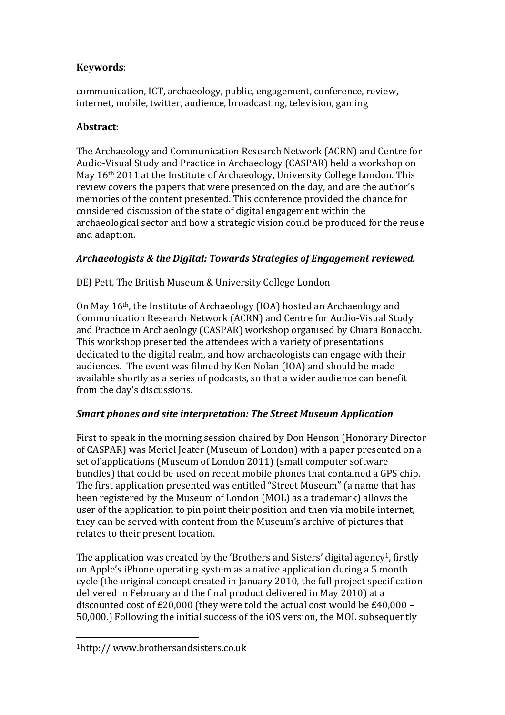# **Keywords**:

communication, ICT, archaeology, public, engagement, conference, review, internet, mobile, twitter, audience, broadcasting, television, gaming

# **Abstract**:

The Archaeology and Communication Research Network (ACRN) and Centre for Audio-Visual Study and Practice in Archaeology (CASPAR) held a workshop on May 16th 2011 at the Institute of Archaeology, University College London. This review covers the papers that were presented on the day, and are the author's memories of the content presented. This conference provided the chance for considered discussion of the state of digital engagement within the archaeological sector and how a strategic vision could be produced for the reuse and adaption.

# *Archaeologists & the Digital: Towards Strategies of Engagement reviewed.*

DEJ Pett, The British Museum & University College London

On May 16th, the Institute of Archaeology (IOA) hosted an Archaeology and Communication Research Network (ACRN) and Centre for Audio-Visual Study and Practice in Archaeology (CASPAR) workshop organised by Chiara Bonacchi. This workshop presented the attendees with a variety of presentations dedicated to the digital realm, and how archaeologists can engage with their audiences. The event was filmed by Ken Nolan (IOA) and should be made available shortly as a series of podcasts, so that a wider audience can benefit from the day's discussions.

# *Smart phones and site interpretation: The Street Museum Application*

First to speak in the morning session chaired by Don Henson (Honorary Director of CASPAR) was Meriel Jeater (Museum of London) with a paper presented on a set of applications (Museum of London 2011) (small computer software bundles) that could be used on recent mobile phones that contained a GPS chip. The first application presented was entitled "Street Museum" (a name that has been registered by the Museum of London (MOL) as a trademark) allows the user of the application to pin point their position and then via mobile internet, they can be served with content from the Museum's archive of pictures that relates to their present location.

The application was created by the 'Brothers and Sisters' digital agency<sup>1</sup>, firstly on Apple's iPhone operating system as a native application during a 5 month cycle (the original concept created in January 2010, the full project specification delivered in February and the final product delivered in May 2010) at a discounted cost of £20,000 (they were told the actual cost would be £40,000 – 50,000.) Following the initial success of the iOS version, the MOL subsequently

 $\overline{\phantom{a}}$ 1http:// www.brothersandsisters.co.uk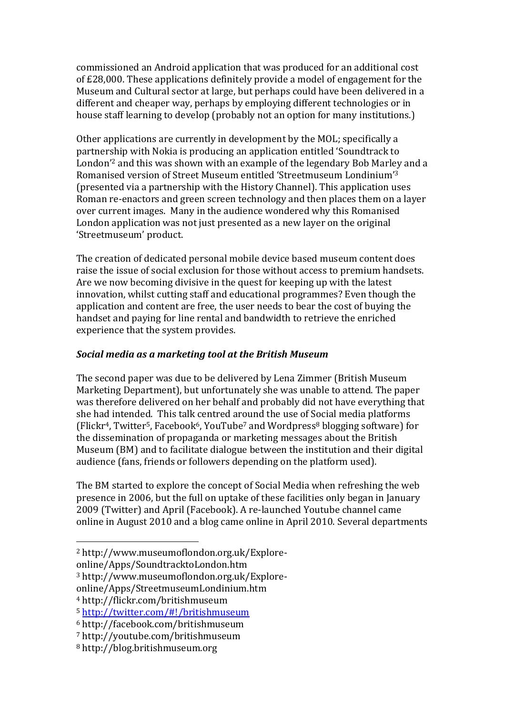commissioned an Android application that was produced for an additional cost of £28,000. These applications definitely provide a model of engagement for the Museum and Cultural sector at large, but perhaps could have been delivered in a different and cheaper way, perhaps by employing different technologies or in house staff learning to develop (probably not an option for many institutions.)

Other applications are currently in development by the MOL; specifically a partnership with Nokia is producing an application entitled 'Soundtrack to London'<sup>2</sup> and this was shown with an example of the legendary Bob Marley and a Romanised version of Street Museum entitled 'Streetmuseum Londinium' 3 (presented via a partnership with the History Channel). This application uses Roman re-enactors and green screen technology and then places them on a layer over current images. Many in the audience wondered why this Romanised London application was not just presented as a new layer on the original 'Streetmuseum' product.

The creation of dedicated personal mobile device based museum content does raise the issue of social exclusion for those without access to premium handsets. Are we now becoming divisive in the quest for keeping up with the latest innovation, whilst cutting staff and educational programmes? Even though the application and content are free, the user needs to bear the cost of buying the handset and paying for line rental and bandwidth to retrieve the enriched experience that the system provides.

#### *Social media as a marketing tool at the British Museum*

The second paper was due to be delivered by Lena Zimmer (British Museum Marketing Department), but unfortunately she was unable to attend. The paper was therefore delivered on her behalf and probably did not have everything that she had intended. This talk centred around the use of Social media platforms  $(Flickr<sup>4</sup>, Twitter<sup>5</sup>, Facebook<sup>6</sup>, YouTube<sup>7</sup> and Wordpress<sup>8</sup> biography software) for$ the dissemination of propaganda or marketing messages about the British Museum (BM) and to facilitate dialogue between the institution and their digital audience (fans, friends or followers depending on the platform used).

The BM started to explore the concept of Social Media when refreshing the web presence in 2006, but the full on uptake of these facilities only began in January 2009 (Twitter) and April (Facebook). A re-launched Youtube channel came online in August 2010 and a blog came online in April 2010. Several departments

 $\overline{\phantom{a}}$ 

<sup>2</sup> http://www.museumoflondon.org.uk/Explore-

online/Apps/SoundtracktoLondon.htm

<sup>3</sup> http://www.museumoflondon.org.uk/Explore-

online/Apps/StreetmuseumLondinium.htm

<sup>4</sup> http://flickr.com/britishmuseum

<sup>5</sup> <http://twitter.com/#!/britishmuseum>

<sup>6</sup> http://facebook.com/britishmuseum

<sup>7</sup> http://youtube.com/britishmuseum

<sup>8</sup> http://blog.britishmuseum.org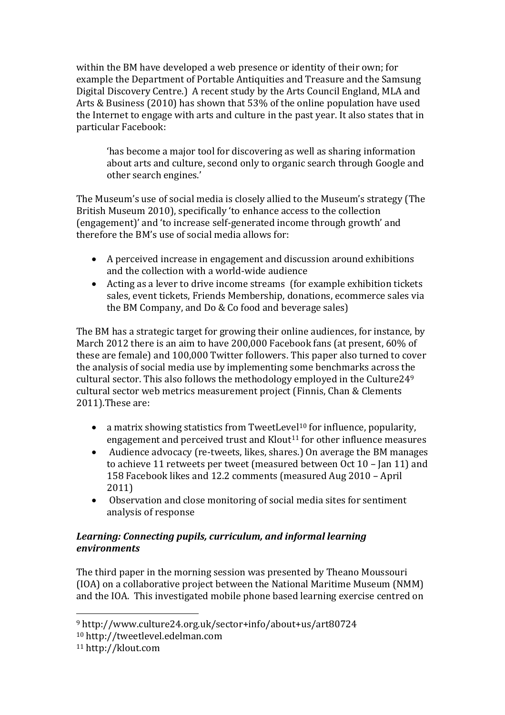within the BM have developed a web presence or identity of their own; for example the Department of Portable Antiquities and Treasure and the Samsung Digital Discovery Centre.) A recent study by the Arts Council England, MLA and Arts & Business (2010) has shown that 53% of the online population have used the Internet to engage with arts and culture in the past year. It also states that in particular Facebook:

'has become a major tool for discovering as well as sharing information about arts and culture, second only to organic search through Google and other search engines.'

The Museum's use of social media is closely allied to the Museum's strategy (The British Museum 2010), specifically 'to enhance access to the collection (engagement)' and 'to increase self-generated income through growth' and therefore the BM's use of social media allows for:

- A perceived increase in engagement and discussion around exhibitions and the collection with a world-wide audience
- Acting as a lever to drive income streams (for example exhibition tickets sales, event tickets, Friends Membership, donations, ecommerce sales via the BM Company, and Do & Co food and beverage sales)

The BM has a strategic target for growing their online audiences, for instance, by March 2012 there is an aim to have 200,000 Facebook fans (at present, 60% of these are female) and 100,000 Twitter followers. This paper also turned to cover the analysis of social media use by implementing some benchmarks across the cultural sector. This also follows the methodology employed in the Culture24<sup>9</sup> cultural sector web metrics measurement project (Finnis, Chan & Clements 2011).These are:

- a matrix showing statistics from TweetLevel<sup>10</sup> for influence, popularity, engagement and perceived trust and Klout<sup>11</sup> for other influence measures
- Audience advocacy (re-tweets, likes, shares.) On average the BM manages to achieve 11 retweets per tweet (measured between Oct 10 – Jan 11) and 158 Facebook likes and 12.2 comments (measured Aug 2010 – April 2011)
- Observation and close monitoring of social media sites for sentiment analysis of response

### *Learning: Connecting pupils, curriculum, and informal learning environments*

The third paper in the morning session was presented by Theano Moussouri (IOA) on a collaborative project between the National Maritime Museum (NMM) and the IOA. This investigated mobile phone based learning exercise centred on

 $\overline{\phantom{a}}$ 

<sup>9</sup> http://www.culture24.org.uk/sector+info/about+us/art80724

<sup>10</sup> http://tweetlevel.edelman.com

<sup>11</sup> http://klout.com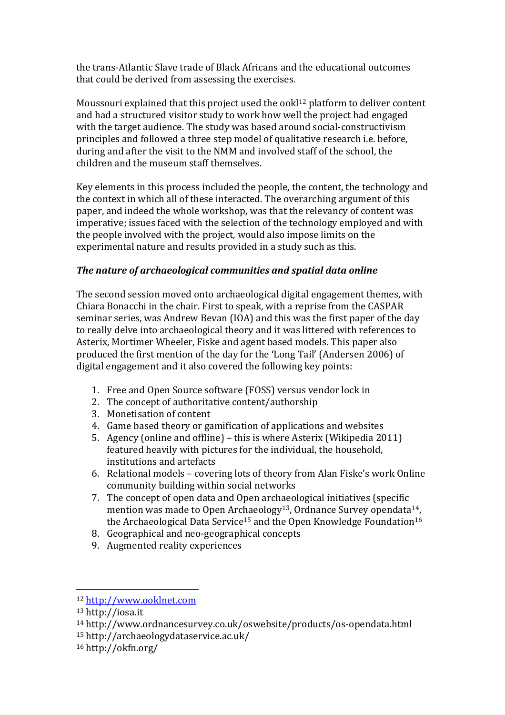the trans-Atlantic Slave trade of Black Africans and the educational outcomes that could be derived from assessing the exercises.

Moussouri explained that this project used the ook $1^{12}$  platform to deliver content and had a structured visitor study to work how well the project had engaged with the target audience. The study was based around social-constructivism principles and followed a three step model of qualitative research i.e. before, during and after the visit to the NMM and involved staff of the school, the children and the museum staff themselves.

Key elements in this process included the people, the content, the technology and the context in which all of these interacted. The overarching argument of this paper, and indeed the whole workshop, was that the relevancy of content was imperative; issues faced with the selection of the technology employed and with the people involved with the project, would also impose limits on the experimental nature and results provided in a study such as this.

### *The nature of archaeological communities and spatial data online*

The second session moved onto archaeological digital engagement themes, with Chiara Bonacchi in the chair. First to speak, with a reprise from the CASPAR seminar series, was Andrew Bevan (IOA) and this was the first paper of the day to really delve into archaeological theory and it was littered with references to Asterix, Mortimer Wheeler, Fiske and agent based models. This paper also produced the first mention of the day for the 'Long Tail' (Andersen 2006) of digital engagement and it also covered the following key points:

- 1. Free and Open Source software (FOSS) versus vendor lock in
- 2. The concept of authoritative content/authorship
- 3. Monetisation of content
- 4. Game based theory or gamification of applications and websites
- 5. Agency (online and offline) this is where Asterix (Wikipedia 2011) featured heavily with pictures for the individual, the household, institutions and artefacts
- 6. Relational models covering lots of theory from Alan Fiske's work Online community building within social networks
- 7. The concept of open data and Open archaeological initiatives (specific mention was made to Open Archaeology<sup>13</sup>, Ordnance Survey opendata<sup>14</sup>, the Archaeological Data Service<sup>15</sup> and the Open Knowledge Foundation<sup>16</sup>
- 8. Geographical and neo-geographical concepts
- 9. Augmented reality experiences

 $\overline{\phantom{a}}$ 

<sup>12</sup> [http://www.ooklnet.com](http://www.ooklnet.com/)

<sup>13</sup> http://iosa.it

<sup>14</sup> http://www.ordnancesurvey.co.uk/oswebsite/products/os-opendata.html

<sup>15</sup> http://archaeologydataservice.ac.uk/

<sup>16</sup> http://okfn.org/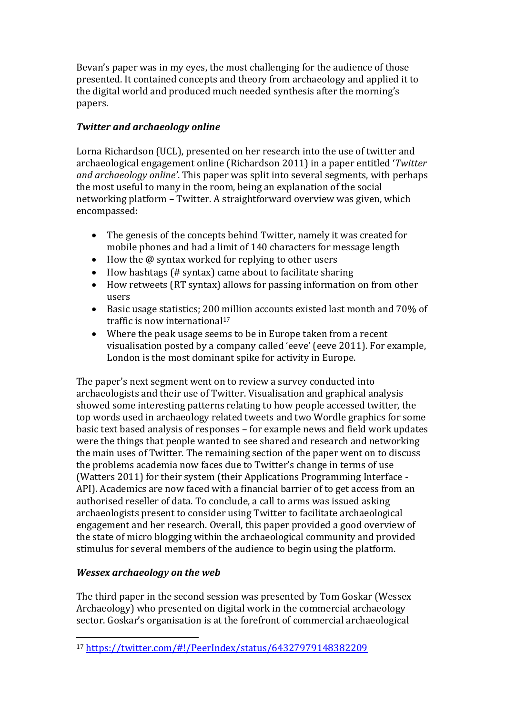Bevan's paper was in my eyes, the most challenging for the audience of those presented. It contained concepts and theory from archaeology and applied it to the digital world and produced much needed synthesis after the morning's papers.

### *Twitter and archaeology online*

Lorna Richardson (UCL), presented on her research into the use of twitter and archaeological engagement online (Richardson 2011) in a paper entitled '*Twitter and archaeology online'*. This paper was split into several segments, with perhaps the most useful to many in the room, being an explanation of the social networking platform – Twitter. A straightforward overview was given, which encompassed:

- The genesis of the concepts behind Twitter, namely it was created for mobile phones and had a limit of 140 characters for message length
- How the @ syntax worked for replying to other users
- How hashtags (# syntax) came about to facilitate sharing
- How retweets (RT syntax) allows for passing information on from other users
- Basic usage statistics; 200 million accounts existed last month and 70% of traffic is now international<sup>17</sup>
- Where the peak usage seems to be in Europe taken from a recent visualisation posted by a company called 'eeve' (eeve 2011). For example, London is the most dominant spike for activity in Europe.

The paper's next segment went on to review a survey conducted into archaeologists and their use of Twitter. Visualisation and graphical analysis showed some interesting patterns relating to how people accessed twitter, the top words used in archaeology related tweets and two Wordle graphics for some basic text based analysis of responses – for example news and field work updates were the things that people wanted to see shared and research and networking the main uses of Twitter. The remaining section of the paper went on to discuss the problems academia now faces due to Twitter's change in terms of use (Watters 2011) for their system (their Applications Programming Interface - API). Academics are now faced with a financial barrier of to get access from an authorised reseller of data. To conclude, a call to arms was issued asking archaeologists present to consider using Twitter to facilitate archaeological engagement and her research. Overall, this paper provided a good overview of the state of micro blogging within the archaeological community and provided stimulus for several members of the audience to begin using the platform.

### *Wessex archaeology on the web*

The third paper in the second session was presented by Tom Goskar (Wessex Archaeology) who presented on digital work in the commercial archaeology sector. Goskar's organisation is at the forefront of commercial archaeological

 $\overline{\phantom{a}}$ <sup>17</sup> <https://twitter.com/#!/PeerIndex/status/64327979148382209>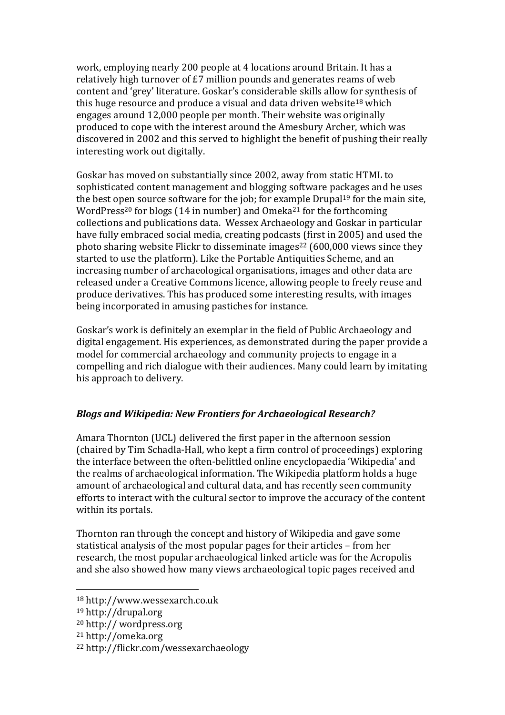work, employing nearly 200 people at 4 locations around Britain. It has a relatively high turnover of £7 million pounds and generates reams of web content and 'grey' literature. Goskar's considerable skills allow for synthesis of this huge resource and produce a visual and data driven website<sup>18</sup> which engages around 12,000 people per month. Their website was originally produced to cope with the interest around the Amesbury Archer, which was discovered in 2002 and this served to highlight the benefit of pushing their really interesting work out digitally.

Goskar has moved on substantially since 2002, away from static HTML to sophisticated content management and blogging software packages and he uses the best open source software for the job; for example Drupal<sup>19</sup> for the main site, WordPress<sup>20</sup> for blogs (14 in number) and Omeka<sup>21</sup> for the forthcoming collections and publications data. Wessex Archaeology and Goskar in particular have fully embraced social media, creating podcasts (first in 2005) and used the photo sharing website Flickr to disseminate images<sup>22</sup> (600,000 views since they started to use the platform). Like the Portable Antiquities Scheme, and an increasing number of archaeological organisations, images and other data are released under a Creative Commons licence, allowing people to freely reuse and produce derivatives. This has produced some interesting results, with images being incorporated in amusing pastiches for instance.

Goskar's work is definitely an exemplar in the field of Public Archaeology and digital engagement. His experiences, as demonstrated during the paper provide a model for commercial archaeology and community projects to engage in a compelling and rich dialogue with their audiences. Many could learn by imitating his approach to delivery.

### *Blogs and Wikipedia: New Frontiers for Archaeological Research?*

Amara Thornton (UCL) delivered the first paper in the afternoon session (chaired by Tim Schadla-Hall, who kept a firm control of proceedings) exploring the interface between the often-belittled online encyclopaedia 'Wikipedia' and the realms of archaeological information. The Wikipedia platform holds a huge amount of archaeological and cultural data, and has recently seen community efforts to interact with the cultural sector to improve the accuracy of the content within its portals.

Thornton ran through the concept and history of Wikipedia and gave some statistical analysis of the most popular pages for their articles – from her research, the most popular archaeological linked article was for the Acropolis and she also showed how many views archaeological topic pages received and

<sup>18</sup> http://www.wessexarch.co.uk

<sup>19</sup> http://drupal.org

<sup>20</sup> http:// wordpress.org

<sup>21</sup> http://omeka.org

<sup>22</sup> http://flickr.com/wessexarchaeology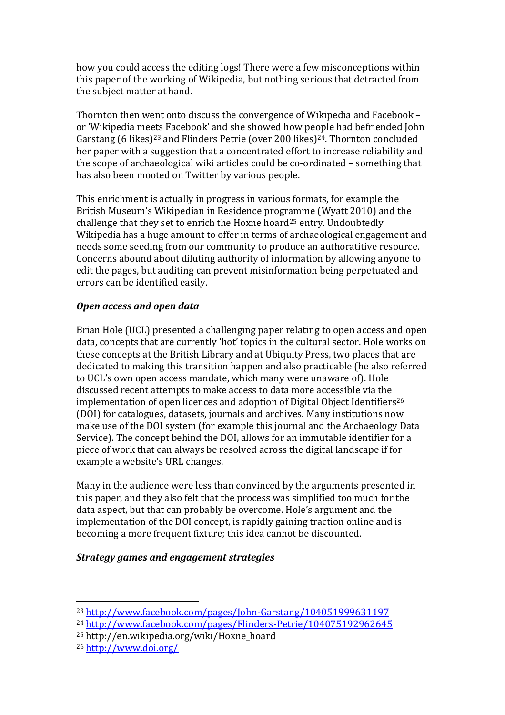how you could access the editing logs! There were a few misconceptions within this paper of the working of Wikipedia, but nothing serious that detracted from the subject matter at hand.

Thornton then went onto discuss the convergence of Wikipedia and Facebook – or 'Wikipedia meets Facebook' and she showed how people had befriended John Garstang (6 likes)<sup>23</sup> and Flinders Petrie (over 200 likes)<sup>24</sup>. Thornton concluded her paper with a suggestion that a concentrated effort to increase reliability and the scope of archaeological wiki articles could be co-ordinated – something that has also been mooted on Twitter by various people.

This enrichment is actually in progress in various formats, for example the British Museum's Wikipedian in Residence programme (Wyatt 2010) and the challenge that they set to enrich the Hoxne hoard<sup>25</sup> entry. Undoubtedly Wikipedia has a huge amount to offer in terms of archaeological engagement and needs some seeding from our community to produce an authoratitive resource. Concerns abound about diluting authority of information by allowing anyone to edit the pages, but auditing can prevent misinformation being perpetuated and errors can be identified easily.

### *Open access and open data*

Brian Hole (UCL) presented a challenging paper relating to open access and open data, concepts that are currently 'hot' topics in the cultural sector. Hole works on these concepts at the British Library and at Ubiquity Press, two places that are dedicated to making this transition happen and also practicable (he also referred to UCL's own open access mandate, which many were unaware of). Hole discussed recent attempts to make access to data more accessible via the implementation of open licences and adoption of Digital Object Identifiers<sup>26</sup> (DOI) for catalogues, datasets, journals and archives. Many institutions now make use of the DOI system (for example this journal and the Archaeology Data Service). The concept behind the DOI, allows for an immutable identifier for a piece of work that can always be resolved across the digital landscape if for example a website's URL changes.

Many in the audience were less than convinced by the arguments presented in this paper, and they also felt that the process was simplified too much for the data aspect, but that can probably be overcome. Hole's argument and the implementation of the DOI concept, is rapidly gaining traction online and is becoming a more frequent fixture; this idea cannot be discounted.

#### *Strategy games and engagement strategies*

<sup>23</sup> <http://www.facebook.com/pages/John-Garstang/104051999631197>

<sup>24</sup> <http://www.facebook.com/pages/Flinders-Petrie/104075192962645>

<sup>25</sup> http://en.wikipedia.org/wiki/Hoxne\_hoard

<sup>26</sup> <http://www.doi.org/>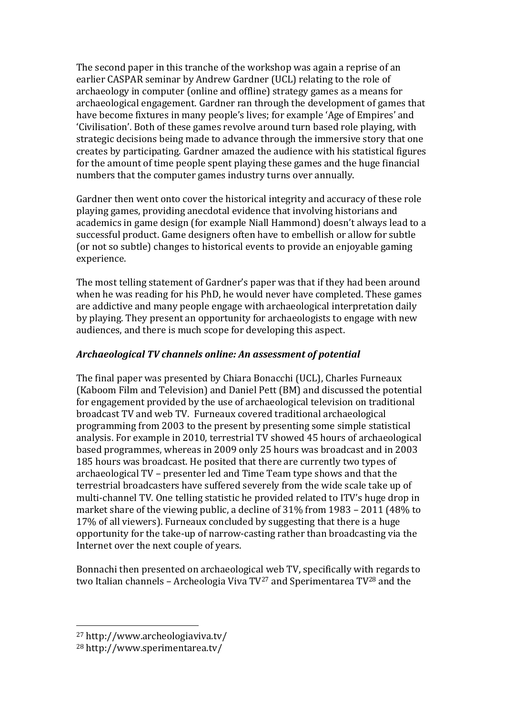The second paper in this tranche of the workshop was again a reprise of an earlier CASPAR seminar by Andrew Gardner (UCL) relating to the role of archaeology in computer (online and offline) strategy games as a means for archaeological engagement. Gardner ran through the development of games that have become fixtures in many people's lives; for example 'Age of Empires' and 'Civilisation'. Both of these games revolve around turn based role playing, with strategic decisions being made to advance through the immersive story that one creates by participating. Gardner amazed the audience with his statistical figures for the amount of time people spent playing these games and the huge financial numbers that the computer games industry turns over annually.

Gardner then went onto cover the historical integrity and accuracy of these role playing games, providing anecdotal evidence that involving historians and academics in game design (for example Niall Hammond) doesn't always lead to a successful product. Game designers often have to embellish or allow for subtle (or not so subtle) changes to historical events to provide an enjoyable gaming experience.

The most telling statement of Gardner's paper was that if they had been around when he was reading for his PhD, he would never have completed. These games are addictive and many people engage with archaeological interpretation daily by playing. They present an opportunity for archaeologists to engage with new audiences, and there is much scope for developing this aspect.

#### *Archaeological TV channels online: An assessment of potential*

The final paper was presented by Chiara Bonacchi (UCL), Charles Furneaux (Kaboom Film and Television) and Daniel Pett (BM) and discussed the potential for engagement provided by the use of archaeological television on traditional broadcast TV and web TV. Furneaux covered traditional archaeological programming from 2003 to the present by presenting some simple statistical analysis. For example in 2010, terrestrial TV showed 45 hours of archaeological based programmes, whereas in 2009 only 25 hours was broadcast and in 2003 185 hours was broadcast. He posited that there are currently two types of archaeological TV – presenter led and Time Team type shows and that the terrestrial broadcasters have suffered severely from the wide scale take up of multi-channel TV. One telling statistic he provided related to ITV's huge drop in market share of the viewing public, a decline of 31% from 1983 – 2011 (48% to 17% of all viewers). Furneaux concluded by suggesting that there is a huge opportunity for the take-up of narrow-casting rather than broadcasting via the Internet over the next couple of years.

Bonnachi then presented on archaeological web TV, specifically with regards to two Italian channels – Archeologia Viva TV<sup>27</sup> and Sperimentarea TV<sup>28</sup> and the

<sup>27</sup> http://www.archeologiaviva.tv/

<sup>28</sup> http://www.sperimentarea.tv/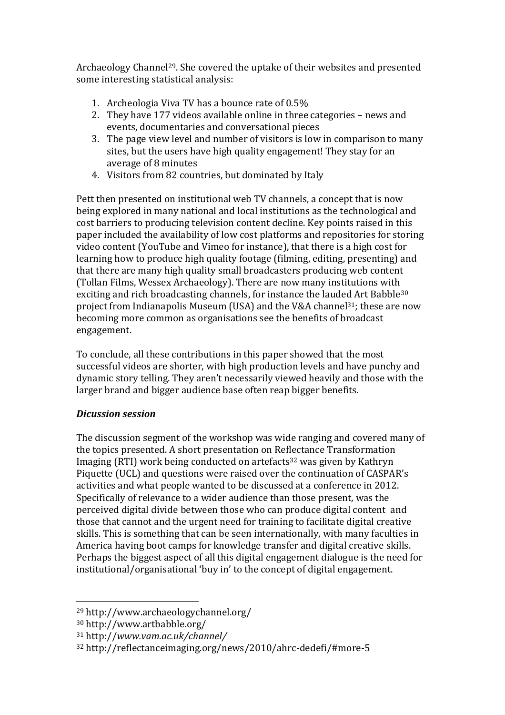Archaeology Channel29. She covered the uptake of their websites and presented some interesting statistical analysis:

- 1. Archeologia Viva TV has a bounce rate of 0.5%
- 2. They have 177 videos available online in three categories news and events, documentaries and conversational pieces
- 3. The page view level and number of visitors is low in comparison to many sites, but the users have high quality engagement! They stay for an average of 8 minutes
- 4. Visitors from 82 countries, but dominated by Italy

Pett then presented on institutional web TV channels, a concept that is now being explored in many national and local institutions as the technological and cost barriers to producing television content decline. Key points raised in this paper included the availability of low cost platforms and repositories for storing video content (YouTube and Vimeo for instance), that there is a high cost for learning how to produce high quality footage (filming, editing, presenting) and that there are many high quality small broadcasters producing web content (Tollan Films, Wessex Archaeology). There are now many institutions with exciting and rich broadcasting channels, for instance the lauded Art Babble<sup>30</sup> project from Indianapolis Museum (USA) and the V&A channel<sup>31</sup>; these are now becoming more common as organisations see the benefits of broadcast engagement.

To conclude, all these contributions in this paper showed that the most successful videos are shorter, with high production levels and have punchy and dynamic story telling. They aren't necessarily viewed heavily and those with the larger brand and bigger audience base often reap bigger benefits.

### *Dicussion session*

The discussion segment of the workshop was wide ranging and covered many of the topics presented. A short presentation on Reflectance Transformation Imaging (RTI) work being conducted on artefacts<sup>32</sup> was given by Kathryn Piquette (UCL) and questions were raised over the continuation of CASPAR's activities and what people wanted to be discussed at a conference in 2012. Specifically of relevance to a wider audience than those present, was the perceived digital divide between those who can produce digital content and those that cannot and the urgent need for training to facilitate digital creative skills. This is something that can be seen internationally, with many faculties in America having boot camps for knowledge transfer and digital creative skills. Perhaps the biggest aspect of all this digital engagement dialogue is the need for institutional/organisational 'buy in' to the concept of digital engagement.

<sup>29</sup> http://www.archaeologychannel.org/

<sup>30</sup> http://www.artbabble.org/

<sup>31</sup> http://*www.vam.ac.uk/channel/*

<sup>32</sup> http://reflectanceimaging.org/news/2010/ahrc-dedefi/#more-5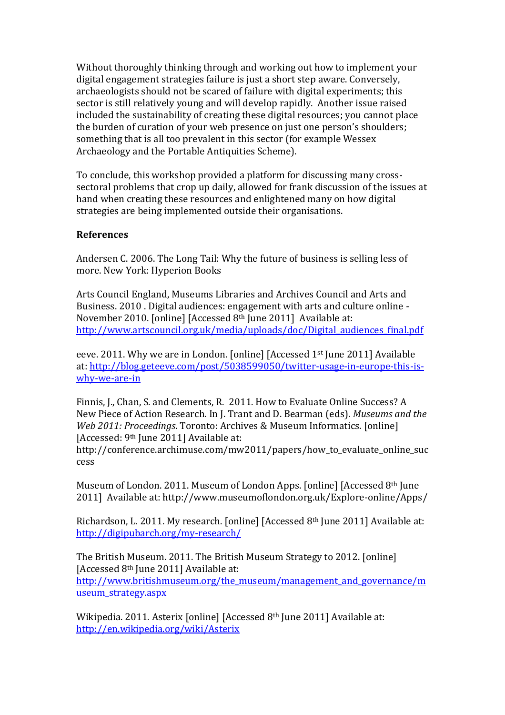Without thoroughly thinking through and working out how to implement your digital engagement strategies failure is just a short step aware. Conversely, archaeologists should not be scared of failure with digital experiments; this sector is still relatively young and will develop rapidly. Another issue raised included the sustainability of creating these digital resources; you cannot place the burden of curation of your web presence on just one person's shoulders; something that is all too prevalent in this sector (for example Wessex Archaeology and the Portable Antiquities Scheme).

To conclude, this workshop provided a platform for discussing many crosssectoral problems that crop up daily, allowed for frank discussion of the issues at hand when creating these resources and enlightened many on how digital strategies are being implemented outside their organisations.

#### **References**

Andersen C. 2006. The Long Tail: Why the future of business is selling less of more. New York: Hyperion Books

Arts Council England, Museums Libraries and Archives Council and Arts and Business. 2010 . Digital audiences: engagement with arts and culture online - November 2010. [online] [Accessed 8th June 2011] Available at: [http://www.artscouncil.org.uk/media/uploads/doc/Digital\\_audiences\\_final.pdf](http://www.artscouncil.org.uk/media/uploads/doc/Digital_audiences_final.pdf)

eeve. 2011. Why we are in London. [online] [Accessed 1st June 2011] Available at[: http://blog.geteeve.com/post/5038599050/twitter-usage-in-europe-this-is](http://blog.geteeve.com/post/5038599050/twitter-usage-in-europe-this-is-why-we-are-in)[why-we-are-in](http://blog.geteeve.com/post/5038599050/twitter-usage-in-europe-this-is-why-we-are-in)

Finnis, J., Chan, S. and Clements, R. 2011. How to Evaluate Online Success? A New Piece of Action Research. In J. Trant and D. Bearman (eds). *Museums and the Web 2011: Proceedings*. Toronto: Archives & Museum Informatics. [online] [Accessed: 9<sup>th</sup> June 2011] Available at:

http://conference.archimuse.com/mw2011/papers/how\_to\_evaluate\_online\_suc cess

Museum of London. 2011. Museum of London Apps. [online] [Accessed 8th June 2011] Available at: http://www.museumoflondon.org.uk/Explore-online/Apps/

Richardson, L. 2011. My research. [online] [Accessed 8th June 2011] Available at: <http://digipubarch.org/my-research/>

The British Museum. 2011. The British Museum Strategy to 2012. [online] [Accessed 8th June 2011] Available at: [http://www.britishmuseum.org/the\\_museum/management\\_and\\_governance/m](http://www.britishmuseum.org/the_museum/management_and_governance/museum_strategy.aspx) [useum\\_strategy.aspx](http://www.britishmuseum.org/the_museum/management_and_governance/museum_strategy.aspx)

Wikipedia. 2011. Asterix [online] [Accessed 8<sup>th</sup> June 2011] Available at: <http://en.wikipedia.org/wiki/Asterix>